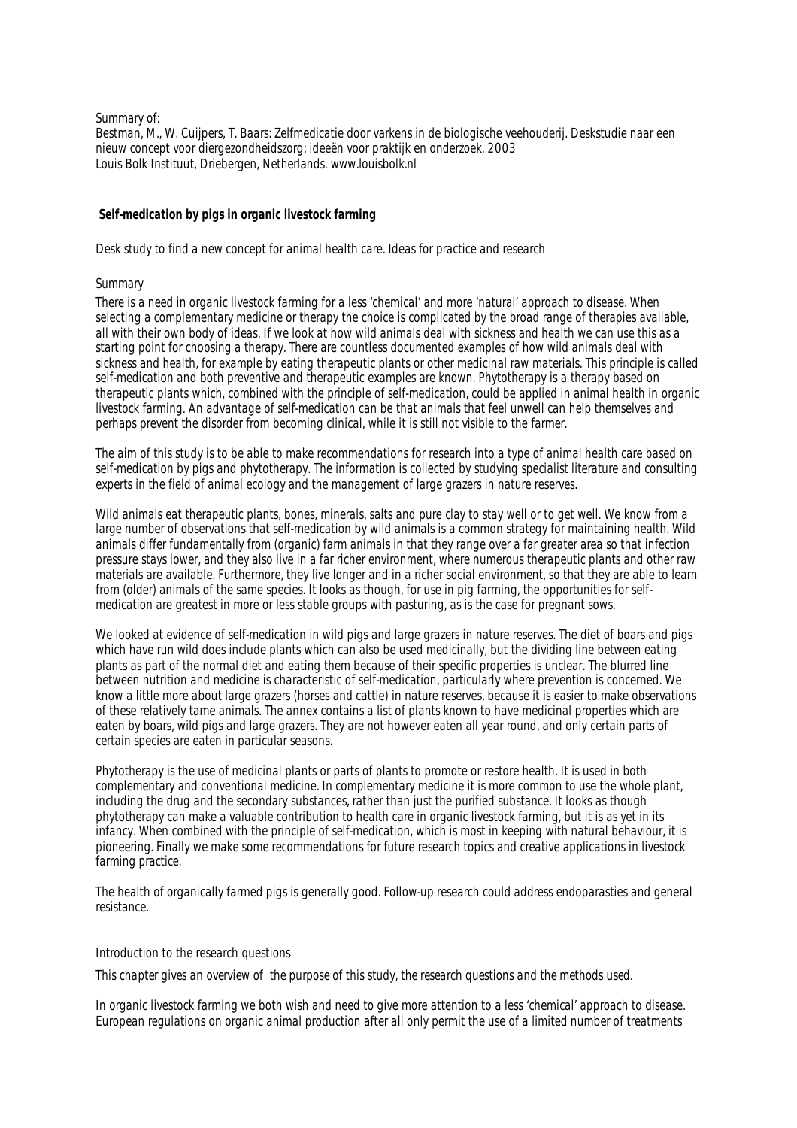Summary of:

Bestman, M., W. Cuijpers, T. Baars: Zelfmedicatie door varkens in de biologische veehouderij. Deskstudie naar een nieuw concept voor diergezondheidszorg; ideeën voor praktijk en onderzoek. 2003 Louis Bolk Instituut, Driebergen, Netherlands. www.louisbolk.nl

### **Self-medication by pigs in organic livestock farming**

Desk study to find a new concept for animal health care. Ideas for practice and research

#### Summary

There is a need in organic livestock farming for a less 'chemical' and more 'natural' approach to disease. When selecting a complementary medicine or therapy the choice is complicated by the broad range of therapies available, all with their own body of ideas. If we look at how wild animals deal with sickness and health we can use this as a starting point for choosing a therapy. There are countless documented examples of how wild animals deal with sickness and health, for example by eating therapeutic plants or other medicinal raw materials. This principle is called self-medication and both preventive and therapeutic examples are known. Phytotherapy is a therapy based on therapeutic plants which, combined with the principle of self-medication, could be applied in animal health in organic livestock farming. An advantage of self-medication can be that animals that feel unwell can help themselves and perhaps prevent the disorder from becoming clinical, while it is still not visible to the farmer.

The aim of this study is to be able to make recommendations for research into a type of animal health care based on self-medication by pigs and phytotherapy. The information is collected by studying specialist literature and consulting experts in the field of animal ecology and the management of large grazers in nature reserves.

Wild animals eat therapeutic plants, bones, minerals, salts and pure clay to stay well or to get well. We know from a large number of observations that self-medication by wild animals is a common strategy for maintaining health. Wild animals differ fundamentally from (organic) farm animals in that they range over a far greater area so that infection pressure stays lower, and they also live in a far richer environment, where numerous therapeutic plants and other raw materials are available. Furthermore, they live longer and in a richer social environment, so that they are able to learn from (older) animals of the same species. It looks as though, for use in pig farming, the opportunities for selfmedication are greatest in more or less stable groups with pasturing, as is the case for pregnant sows.

We looked at evidence of self-medication in wild pigs and large grazers in nature reserves. The diet of boars and pigs which have run wild does include plants which can also be used medicinally, but the dividing line between eating plants as part of the normal diet and eating them because of their specific properties is unclear. The blurred line between nutrition and medicine is characteristic of self-medication, particularly where prevention is concerned. We know a little more about large grazers (horses and cattle) in nature reserves, because it is easier to make observations of these relatively tame animals. The annex contains a list of plants known to have medicinal properties which are eaten by boars, wild pigs and large grazers. They are not however eaten all year round, and only certain parts of certain species are eaten in particular seasons.

Phytotherapy is the use of medicinal plants or parts of plants to promote or restore health. It is used in both complementary and conventional medicine. In complementary medicine it is more common to use the whole plant, including the drug and the secondary substances, rather than just the purified substance. It looks as though phytotherapy can make a valuable contribution to health care in organic livestock farming, but it is as yet in its infancy. When combined with the principle of self-medication, which is most in keeping with natural behaviour, it is pioneering. Finally we make some recommendations for future research topics and creative applications in livestock farming practice.

The health of organically farmed pigs is generally good. Follow-up research could address endoparasties and general resistance.

### Introduction to the research questions

*This chapter gives an overview of the purpose of this study, the research questions and the methods used.*

In organic livestock farming we both wish and need to give more attention to a less 'chemical' approach to disease. European regulations on organic animal production after all only permit the use of a limited number of treatments